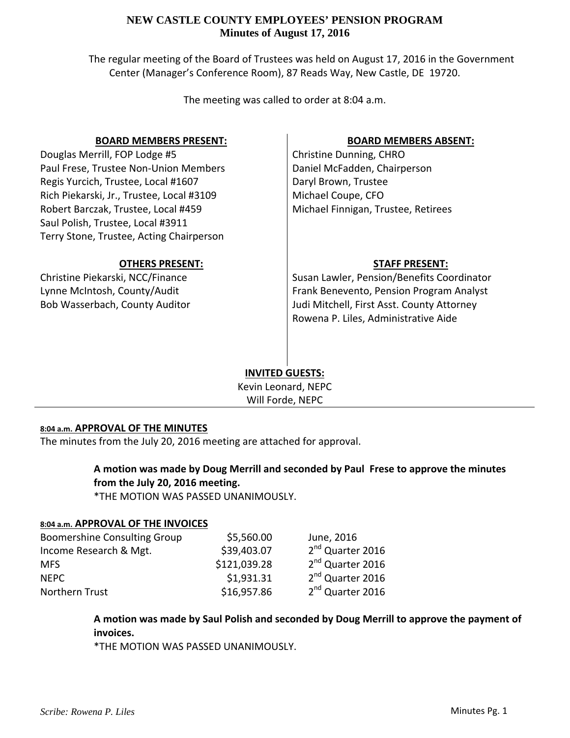### **NEW CASTLE COUNTY EMPLOYEES' PENSION PROGRAM Minutes of August 17, 2016**

The regular meeting of the Board of Trustees was held on August 17, 2016 in the Government Center (Manager's Conference Room), 87 Reads Way, New Castle, DE 19720.

The meeting was called to order at 8:04 a.m.

### **BOARD MEMBERS PRESENT:**

Douglas Merrill, FOP Lodge #5 Paul Frese, Trustee Non‐Union Members Regis Yurcich, Trustee, Local #1607 Rich Piekarski, Jr., Trustee, Local #3109 Robert Barczak, Trustee, Local #459 Saul Polish, Trustee, Local #3911 Terry Stone, Trustee, Acting Chairperson

### **OTHERS PRESENT:**

Christine Piekarski, NCC/Finance Lynne McIntosh, County/Audit Bob Wasserbach, County Auditor

# **BOARD MEMBERS ABSENT:**

Christine Dunning, CHRO Daniel McFadden, Chairperson Daryl Brown, Trustee Michael Coupe, CFO Michael Finnigan, Trustee, Retirees

### **STAFF PRESENT:**

Susan Lawler, Pension/Benefits Coordinator Frank Benevento, Pension Program Analyst Judi Mitchell, First Asst. County Attorney Rowena P. Liles, Administrative Aide

# **INVITED GUESTS:**

Kevin Leonard, NEPC Will Forde, NEPC

#### **8:04 a.m. APPROVAL OF THE MINUTES**

The minutes from the July 20, 2016 meeting are attached for approval.

# **A motion was made by Doug Merrill and seconded by Paul Frese to approve the minutes from the July 20, 2016 meeting.**

\*THE MOTION WAS PASSED UNANIMOUSLY.

#### **8:04 a.m. APPROVAL OF THE INVOICES**

| <b>Boomershine Consulting Group</b> | \$5,560.00   | June, 2016                   |
|-------------------------------------|--------------|------------------------------|
| Income Research & Mgt.              | \$39,403.07  | 2 <sup>nd</sup> Quarter 2016 |
| <b>MFS</b>                          | \$121,039.28 | 2 <sup>nd</sup> Quarter 2016 |
| <b>NFPC</b>                         | \$1,931.31   | 2 <sup>nd</sup> Quarter 2016 |
| Northern Trust                      | \$16,957.86  | 2 <sup>nd</sup> Quarter 2016 |

# **A motion was made by Saul Polish and seconded by Doug Merrill to approve the payment of invoices.**

\*THE MOTION WAS PASSED UNANIMOUSLY.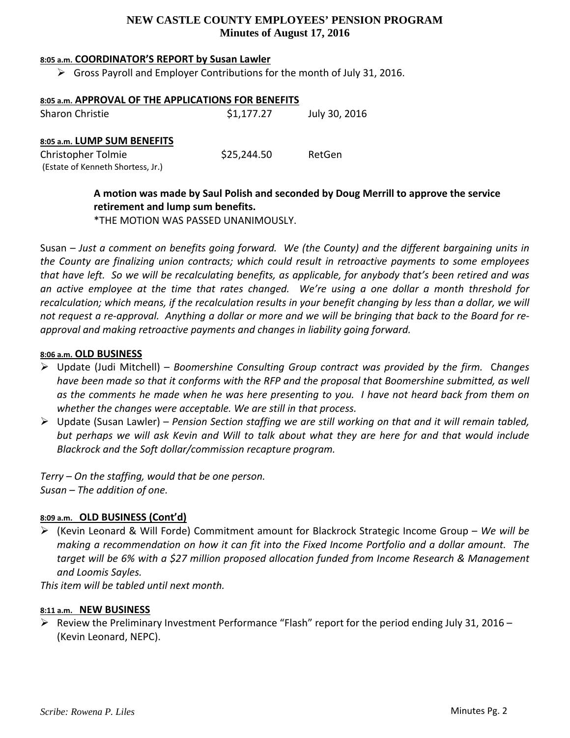# **NEW CASTLE COUNTY EMPLOYEES' PENSION PROGRAM Minutes of August 17, 2016**

#### **8:05 a.m. COORDINATOR'S REPORT by Susan Lawler**

 $\triangleright$  Gross Payroll and Employer Contributions for the month of July 31, 2016.

| 8:05 a.m. APPROVAL OF THE APPLICATIONS FOR BENEFITS     |             |               |  |
|---------------------------------------------------------|-------------|---------------|--|
| <b>Sharon Christie</b>                                  | \$1,177.27  | July 30, 2016 |  |
| 8:05 a.m. LUMP SUM BENEFITS                             |             |               |  |
| Christopher Tolmie<br>(Estate of Kenneth Shortess, Jr.) | \$25,244.50 | RetGen        |  |

# **A motion was made by Saul Polish and seconded by Doug Merrill to approve the service retirement and lump sum benefits.**

\*THE MOTION WAS PASSED UNANIMOUSLY.

Susan – *Just a comment on benefits going forward. We (the County) and the different bargaining units in the County are finalizing union contracts; which could result in retroactive payments to some employees* that have left. So we will be recalculating benefits, as applicable, for anybody that's been retired and was an active employee at the time that rates changed. We're using a one dollar a month threshold for recalculation; which means, if the recalculation results in your benefit changing by less than a dollar, we will not request a re-approval. Anything a dollar or more and we will be bringing that back to the Board for re*approval and making retroactive payments and changes in liability going forward.*

#### **8:06 a.m. OLD BUSINESS**

- Update (Judi Mitchell) *Boomershine Consulting Group contract was provided by the firm.* C*hanges* have been made so that it conforms with the RFP and the proposal that Boomershine submitted, as well as the comments he made when he was here presenting to you. I have not heard back from them on *whether the changes were acceptable. We are still in that process.*
- Update (Susan Lawler) *Pension Section staffing we are still working on that and it will remain tabled,* but perhaps we will ask Kevin and Will to talk about what they are here for and that would include *Blackrock and the Soft dollar/commission recapture program.*

*Terry – On the staffing, would that be one person. Susan – The addition of one.*

#### **8:09 a.m. OLD BUSINESS (Cont'd)**

 (Kevin Leonard & Will Forde) Commitment amount for Blackrock Strategic Income Group – *We will be* making a recommendation on how it can fit into the Fixed Income Portfolio and a dollar amount. The *target will be 6% with a \$27 million proposed allocation funded from Income Research & Management and Loomis Sayles.*

*This item will be tabled until next month.*

#### **8:11 a.m. NEW BUSINESS**

 $\triangleright$  Review the Preliminary Investment Performance "Flash" report for the period ending July 31, 2016 – (Kevin Leonard, NEPC).